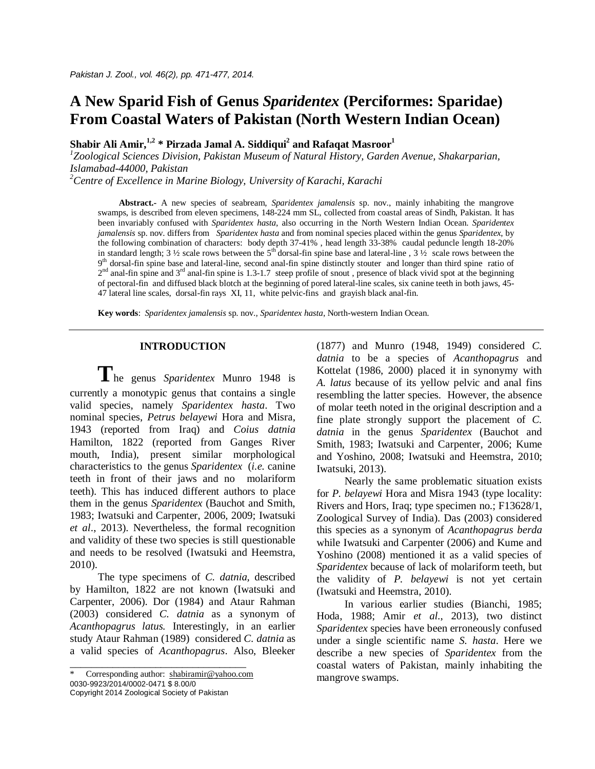# **A New Sparid Fish of Genus** *Sparidentex* **(Perciformes: Sparidae) From Coastal Waters of Pakistan (North Western Indian Ocean)**

**Shabir Ali Amir,1,2 \* Pirzada Jamal A. Siddiqui<sup>2</sup> and Rafaqat Masroor<sup>1</sup>**

*1 Zoological Sciences Division, Pakistan Museum of Natural History, Garden Avenue, Shakarparian, Islamabad-44000, Pakistan*

*<sup>2</sup>Centre of Excellence in Marine Biology, University of Karachi, Karachi*

**Abstract.-** A new species of seabream, *Sparidentex jamalensis* sp. nov., mainly inhabiting the mangrove swamps, is described from eleven specimens, 148-224 mm SL, collected from coastal areas of Sindh, Pakistan. It has been invariably confused with *Sparidentex hasta*, also occurring in the North Western Indian Ocean. *Sparidentex jamalensis* sp. nov. differs from *Sparidentex hasta* and from nominal species placed within the genus *Sparidentex*, by the following combination of characters: body depth 37-41% , head length 33-38% caudal peduncle length 18-20% in standard length;  $3\frac{1}{2}$  scale rows between the  $5<sup>th</sup>$  dorsal-fin spine base and lateral-line ,  $3\frac{1}{2}$  scale rows between the 9<sup>th</sup> dorsal-fin spine base and lateral-line, second anal-fin spine distinctly stouter and longer than third spine ratio of  $2<sup>nd</sup>$  anal-fin spine and  $3<sup>rd</sup>$  anal-fin spine is 1.3-1.7 steep profile of snout, presence of black vivid spot at the beginning of pectoral-fin and diffused black blotch at the beginning of pored lateral-line scales, six canine teeth in both jaws, 45- 47 lateral line scales, dorsal-fin rays XI, 11, white pelvic-fins and grayish black anal-fin.

**Key words**: *Sparidentex jamalensis* sp. nov.*, Sparidentex hasta*, North-western Indian Ocean.

# **INTRODUCTION**

**T**he genus *Sparidentex* Munro 1948 is currently a monotypic genus that contains a single valid species, namely *Sparidentex hasta*. Two nominal species, *Petrus belayewi* Hora and Misra, 1943 (reported from Iraq) and *Coius datnia* Hamilton, 1822 (reported from Ganges River mouth, India), present similar morphological characteristics to the genus *Sparidentex* (*i.e.* canine teeth in front of their jaws and no molariform teeth). This has induced different authors to place them in the genus *Sparidentex* (Bauchot and Smith, 1983; Iwatsuki and Carpenter, 2006, 2009; Iwatsuki *et al*., 2013). Nevertheless, the formal recognition and validity of these two species is still questionable and needs to be resolved (Iwatsuki and Heemstra, 2010).

The type specimens of *C. datnia,* described by Hamilton, 1822 are not known (Iwatsuki and Carpenter, 2006). Dor (1984) and Ataur Rahman (2003) considered *C. datnia* as a synonym of *Acanthopagrus latus.* Interestingly, in an earlier study Ataur Rahman (1989) considered *C. datnia* as a valid species of *Acanthopagrus*. Also, Bleeker

Copyright 2014 Zoological Society of Pakistan

(1877) and Munro (1948, 1949) considered *C. datnia* to be a species of *Acanthopagrus* and Kottelat (1986, 2000) placed it in synonymy with *A. latus* because of its yellow pelvic and anal fins resembling the latter species. However, the absence of molar teeth noted in the original description and a fine plate strongly support the placement of *C. datnia* in the genus *Sparidentex* (Bauchot and Smith, 1983; Iwatsuki and Carpenter, 2006; Kume and Yoshino, 2008; Iwatsuki and Heemstra, 2010; Iwatsuki, 2013).

Nearly the same problematic situation exists for *P. belayewi* Hora and Misra 1943 (type locality: Rivers and Hors, Iraq; type specimen no.; F13628/1, Zoological Survey of India). Das (2003) considered this species as a synonym of *Acanthopagrus berda*  while Iwatsuki and Carpenter (2006) and Kume and Yoshino (2008) mentioned it as a valid species of *Sparidentex* because of lack of molariform teeth, but the validity of *P. belayewi* is not yet certain (Iwatsuki and Heemstra, 2010).

In various earlier studies (Bianchi, 1985; Hoda, 1988; Amir *et al*., 2013), two distinct *Sparidentex* species have been erroneously confused under a single scientific name *S. hasta*. Here we describe a new species of *Sparidentex* from the coastal waters of Pakistan, mainly inhabiting the mangrove swamps.

\_\_\_\_\_\_\_\_\_\_\_\_\_\_\_\_\_\_\_\_\_\_\_\_\_\_\_\_\_\_\_\_\_ Corresponding author: shabiramir@yahoo.com 0030-9923/2014/0002-0471 \$ 8.00/0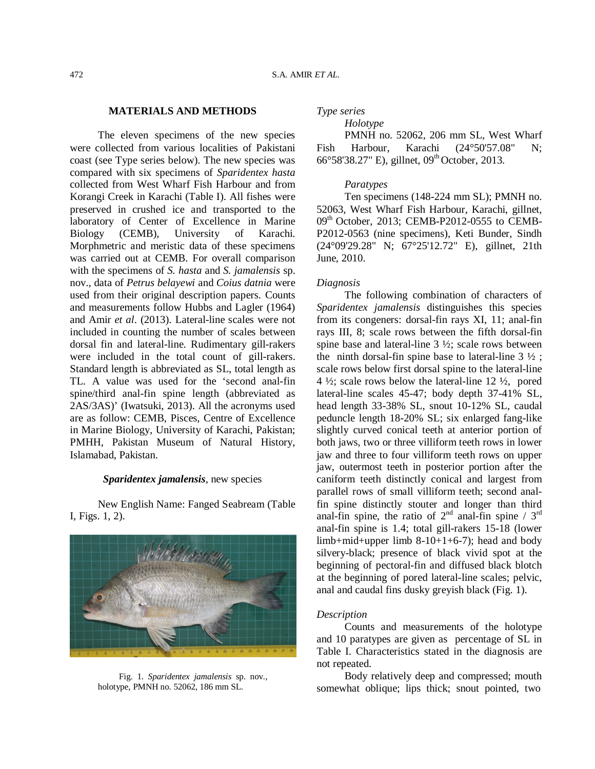# **MATERIALS AND METHODS**

The eleven specimens of the new species were collected from various localities of Pakistani coast (see Type series below). The new species was compared with six specimens of *Sparidentex hasta*  collected from West Wharf Fish Harbour and from Korangi Creek in Karachi (Table I). All fishes were preserved in crushed ice and transported to the laboratory of Center of Excellence in Marine Biology (CEMB), University of Karachi. Morphmetric and meristic data of these specimens was carried out at CEMB. For overall comparison with the specimens of *S. hasta* and *S. jamalensis* sp. nov., data of *Petrus belayewi* and *Coius datnia* were used from their original description papers. Counts and measurements follow Hubbs and Lagler (1964) and Amir *et al*. (2013). Lateral-line scales were not included in counting the number of scales between dorsal fin and lateral-line. Rudimentary gill-rakers were included in the total count of gill-rakers. Standard length is abbreviated as SL, total length as TL. A value was used for the 'second anal-fin spine/third anal-fin spine length (abbreviated as 2AS/3AS)' (Iwatsuki, 2013). All the acronyms used are as follow: CEMB, Pisces, Centre of Excellence in Marine Biology, University of Karachi, Pakistan; PMHH, Pakistan Museum of Natural History, Islamabad, Pakistan.

# *Sparidentex jamalensis*, new species

New English Name: Fanged Seabream (Table I, Figs. 1, 2).



Fig. 1. *Sparidentex jamalensis* sp. nov., holotype, PMNH no. 52062, 186 mm SL.

*Type series*

*Holotype* 

PMNH no. 52062, 206 mm SL, West Wharf Fish Harbour, Karachi (24°50'57.08" N; 66°58'38.27" E), gillnet, 09<sup>th</sup> October, 2013.

### *Paratypes*

Ten specimens (148-224 mm SL); PMNH no. 52063, West Wharf Fish Harbour, Karachi, gillnet,  $09<sup>th</sup>$  October, 2013; CEMB-P2012-0555 to CEMB-P2012-0563 (nine specimens), Keti Bunder, Sindh (24°09'29.28" N; 67°25'12.72" E), gillnet, 21th June, 2010.

### *Diagnosis*

The following combination of characters of *Sparidentex jamalensis* distinguishes this species from its congeners: dorsal-fin rays XI, 11; anal-fin rays III, 8; scale rows between the fifth dorsal-fin spine base and lateral-line 3 ½; scale rows between the ninth dorsal-fin spine base to lateral-line  $3\frac{1}{2}$ ; scale rows below first dorsal spine to the lateral-line 4  $\frac{1}{2}$ ; scale rows below the lateral-line 12  $\frac{1}{2}$ , pored lateral-line scales 45-47; body depth 37-41% SL, head length 33-38% SL, snout 10-12% SL, caudal peduncle length 18-20% SL; six enlarged fang-like slightly curved conical teeth at anterior portion of both jaws, two or three villiform teeth rows in lower jaw and three to four villiform teeth rows on upper jaw, outermost teeth in posterior portion after the caniform teeth distinctly conical and largest from parallel rows of small villiform teeth; second analfin spine distinctly stouter and longer than third anal-fin spine, the ratio of  $2<sup>nd</sup>$  anal-fin spine /  $3<sup>rd</sup>$ anal-fin spine is 1.4; total gill-rakers 15-18 (lower limb+mid+upper limb  $8-10+1+6-7$ ; head and body silvery-black; presence of black vivid spot at the beginning of pectoral-fin and diffused black blotch at the beginning of pored lateral-line scales; pelvic, anal and caudal fins dusky greyish black (Fig. 1).

#### *Description*

Counts and measurements of the holotype and 10 paratypes are given as percentage of SL in Table I. Characteristics stated in the diagnosis are not repeated.

Body relatively deep and compressed; mouth somewhat oblique; lips thick; snout pointed, two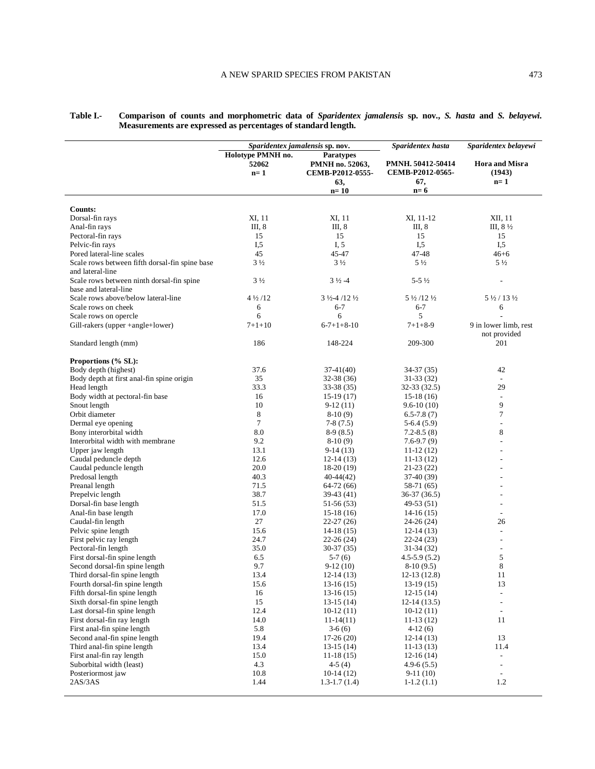|                                                                 | Sparidentex jamalensis sp. nov.       |                                    | Sparidentex hasta  | Sparidentex belayewi              |
|-----------------------------------------------------------------|---------------------------------------|------------------------------------|--------------------|-----------------------------------|
|                                                                 | Holotype PMNH no.<br><b>Paratypes</b> |                                    |                    |                                   |
|                                                                 | 52062                                 | PMNH no. 52063,                    | PMNH. 50412-50414  | <b>Hora and Misra</b>             |
|                                                                 | $n=1$                                 | CEMB-P2012-0555-                   | CEMB-P2012-0565-   | (1943)                            |
|                                                                 |                                       |                                    |                    |                                   |
|                                                                 |                                       | 63,                                | 67,                | $n=1$                             |
|                                                                 |                                       | $n=10$                             | $n=6$              |                                   |
|                                                                 |                                       |                                    |                    |                                   |
| <b>Counts:</b>                                                  |                                       |                                    |                    |                                   |
| Dorsal-fin rays                                                 | XI, 11                                | XI, 11                             | XI, 11-12          | XII, 11                           |
| Anal-fin rays                                                   | III, 8                                | III, 8                             | III, 8             | III, $8\frac{1}{2}$               |
| Pectoral-fin rays                                               | 15                                    | 15                                 | 15                 | 15                                |
| Pelvic-fin rays                                                 | $I_{1,5}$                             | I, 5                               | I, 5               | I, 5                              |
| Pored lateral-line scales                                       | 45                                    | 45-47                              | 47-48              | $46 + 6$                          |
| Scale rows between fifth dorsal-fin spine base                  | $3\frac{1}{2}$                        | $3\frac{1}{2}$                     | $5\frac{1}{2}$     | $5\frac{1}{2}$                    |
| and lateral-line                                                |                                       |                                    |                    |                                   |
| Scale rows between ninth dorsal-fin spine                       | $3\frac{1}{2}$                        | $3\frac{1}{2} - 4$                 | $5 - 5\frac{1}{2}$ |                                   |
| base and lateral-line                                           |                                       |                                    |                    |                                   |
| Scale rows above/below lateral-line                             | $4\frac{1}{2}$ /12                    | $3\frac{1}{2}$ -4/12 $\frac{1}{2}$ | 5 1/2 / 12 1/2     | $5\frac{1}{2}$ / 13 $\frac{1}{2}$ |
| Scale rows on cheek                                             | 6                                     | $6 - 7$                            | $6 - 7$            | 6                                 |
| Scale rows on opercle                                           | 6                                     | 6                                  | 5                  |                                   |
| Gill-rakers (upper +angle+lower)                                | $7 + 1 + 10$                          | $6-7+1+8-10$                       | $7 + 1 + 8 - 9$    | 9 in lower limb, rest             |
|                                                                 |                                       |                                    |                    | not provided                      |
|                                                                 | 186                                   | 148-224                            | 209-300            | 201                               |
| Standard length (mm)                                            |                                       |                                    |                    |                                   |
| Proportions (% SL):                                             |                                       |                                    |                    |                                   |
| Body depth (highest)                                            | 37.6                                  | $37-41(40)$                        | 34-37 (35)         | 42                                |
| Body depth at first anal-fin spine origin                       | 35                                    |                                    |                    |                                   |
|                                                                 |                                       | 32-38 (36)                         | 31-33 (32)         | $\overline{\phantom{a}}$<br>29    |
| Head length                                                     | 33.3                                  | 33-38 (35)                         | 32-33 (32.5)       |                                   |
| Body width at pectoral-fin base                                 | 16                                    | $15-19(17)$                        | $15-18(16)$        | $\overline{\phantom{a}}$          |
| Snout length                                                    | 10                                    | $9-12(11)$                         | $9.6 - 10(10)$     | 9                                 |
| Orbit diameter                                                  | 8                                     | $8-10(9)$                          | $6.5 - 7.8(7)$     | 7                                 |
| Dermal eye opening                                              | $\tau$                                | $7-8(7.5)$                         | $5-6.4(5.9)$       | $\overline{\phantom{a}}$          |
| Bony interorbital width                                         | 8.0                                   | $8-9(8.5)$                         | $7.2 - 8.5(8)$     | $\,$ 8 $\,$                       |
| Interorbital width with membrane                                | 9.2                                   | $8-10(9)$                          | $7.6 - 9.7(9)$     |                                   |
| Upper jaw length                                                | 13.1                                  | 9-14 (13)                          | $11-12(12)$        |                                   |
| Caudal peduncle depth                                           | 12.6                                  | $12-14(13)$                        | $11-13(12)$        |                                   |
| Caudal peduncle length                                          | 20.0                                  | $18-20(19)$                        | 21-23 (22)         |                                   |
| Predosal length                                                 | 40.3                                  | 40-44(42)                          | 37-40 (39)         |                                   |
| Preanal length                                                  | 71.5                                  | 64-72 (66)                         | 58-71 (65)         |                                   |
| Prepelvic length                                                | 38.7                                  | 39-43 (41)                         | 36-37 (36.5)       |                                   |
| Dorsal-fin base length                                          | 51.5                                  | 51-56 (53)                         | 49-53 (51)         | $\overline{\phantom{a}}$          |
| Anal-fin base length                                            | 17.0                                  | $15-18(16)$                        | $14-16(15)$        | $\sim$                            |
| Caudal-fin length                                               | 27                                    | $22 - 27(26)$                      | 24-26 (24)         | 26                                |
| Pelvic spine length                                             | 15.6                                  | $14-18(15)$                        | $12-14(13)$        | $\overline{\phantom{a}}$          |
| First pelvic ray length                                         | 24.7                                  | $22-26(24)$                        | 22-24 (23)         | $\overline{\phantom{a}}$          |
| Pectoral-fin length                                             | 35.0                                  | 30-37 (35)                         | 31-34 (32)         | $\overline{\phantom{a}}$          |
|                                                                 |                                       |                                    |                    |                                   |
| First dorsal-fin spine length<br>Second dorsal-fin spine length | 6.5<br>9.7                            | $5-7(6)$                           | $4.5 - 5.9(5.2)$   | 5<br>$\,$ 8 $\,$                  |
|                                                                 |                                       | $9-12(10)$                         | $8-10(9.5)$        |                                   |
| Third dorsal-fin spine length                                   | 13.4                                  | $12-14(13)$                        | $12-13(12.8)$      | 11                                |
| Fourth dorsal-fin spine length                                  | 15.6                                  | $13-16(15)$                        | $13-19(15)$        | 13                                |
| Fifth dorsal-fin spine length                                   | 16                                    | $13-16(15)$                        | $12-15(14)$        | $\overline{\phantom{a}}$          |
| Sixth dorsal-fin spine length                                   | 15                                    | $13-15(14)$                        | $12-14(13.5)$      | $\overline{\phantom{a}}$          |
| Last dorsal-fin spine length                                    | 12.4                                  | $10-12(11)$                        | $10-12(11)$        | $\overline{\phantom{a}}$          |
| First dorsal-fin ray length                                     | 14.0                                  | $11-14(11)$                        | $11-13(12)$        | 11                                |
| First anal-fin spine length                                     | 5.8                                   | $3-6(6)$                           | $4-12(6)$          |                                   |
| Second anal-fin spine length                                    | 19.4                                  | $17-26(20)$                        | $12-14(13)$        | 13                                |
| Third anal-fin spine length                                     | 13.4                                  | $13-15(14)$                        | $11-13(13)$        | 11.4                              |
| First anal-fin ray length                                       | 15.0                                  | $11-18(15)$                        | $12-16(14)$        | $\overline{\phantom{a}}$          |
| Suborbital width (least)                                        | 4.3                                   | $4-5(4)$                           | $4.9 - 6(5.5)$     | $\overline{\phantom{a}}$          |
| Posteriormost jaw                                               | 10.8                                  | $10-14(12)$                        | $9-11(10)$         | $\overline{\phantom{a}}$          |
| 2AS/3AS                                                         | 1.44                                  | $1.3 - 1.7(1.4)$                   | $1-1.2(1.1)$       | 1.2                               |
|                                                                 |                                       |                                    |                    |                                   |

**Table I.- Comparison of counts and morphometric data of** *Sparidentex jamalensis* **sp. nov.,** *S. hasta* **and** *S. belayewi.*  **Measurements are expressed as percentages of standard length.** 

l,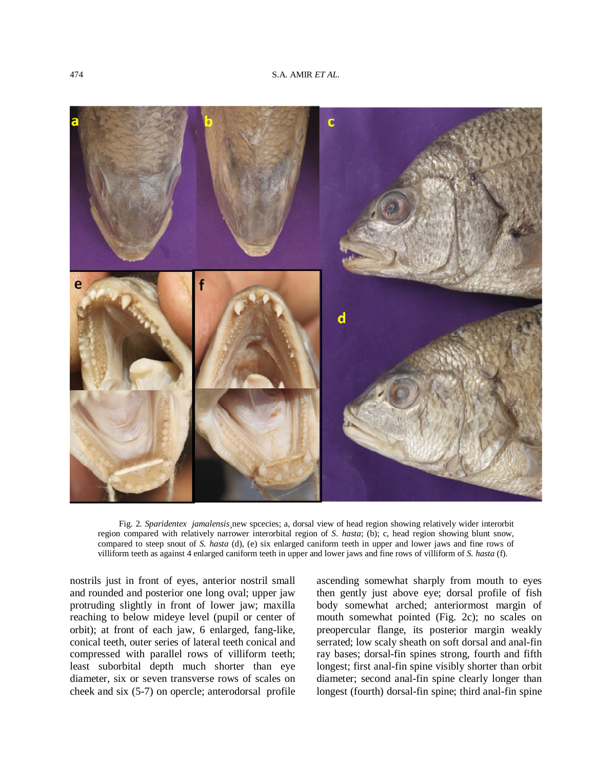

Fig. 2. *Sparidentex jamalensis*¸new spcecies; a, dorsal view of head region showing relatively wider interorbit region compared with relatively narrower interorbital region of *S. hasta*; (b); c, head region showing blunt snow, compared to steep snout of *S. hasta* (d), (e) six enlarged caniform teeth in upper and lower jaws and fine rows of villiform teeth as against 4 enlarged caniform teeth in upper and lower jaws and fine rows of villiform of *S. hasta* (f).

nostrils just in front of eyes, anterior nostril small and rounded and posterior one long oval; upper jaw protruding slightly in front of lower jaw; maxilla reaching to below mideye level (pupil or center of orbit); at front of each jaw, 6 enlarged, fang-like, conical teeth, outer series of lateral teeth conical and compressed with parallel rows of villiform teeth; least suborbital depth much shorter than eye diameter, six or seven transverse rows of scales on cheek and six (5-7) on opercle; anterodorsal profile

ascending somewhat sharply from mouth to eyes then gently just above eye; dorsal profile of fish body somewhat arched; anteriormost margin of mouth somewhat pointed (Fig. 2c); no scales on preopercular flange, its posterior margin weakly serrated; low scaly sheath on soft dorsal and anal-fin ray bases; dorsal-fin spines strong, fourth and fifth longest; first anal-fin spine visibly shorter than orbit diameter; second anal-fin spine clearly longer than longest (fourth) dorsal-fin spine; third anal-fin spine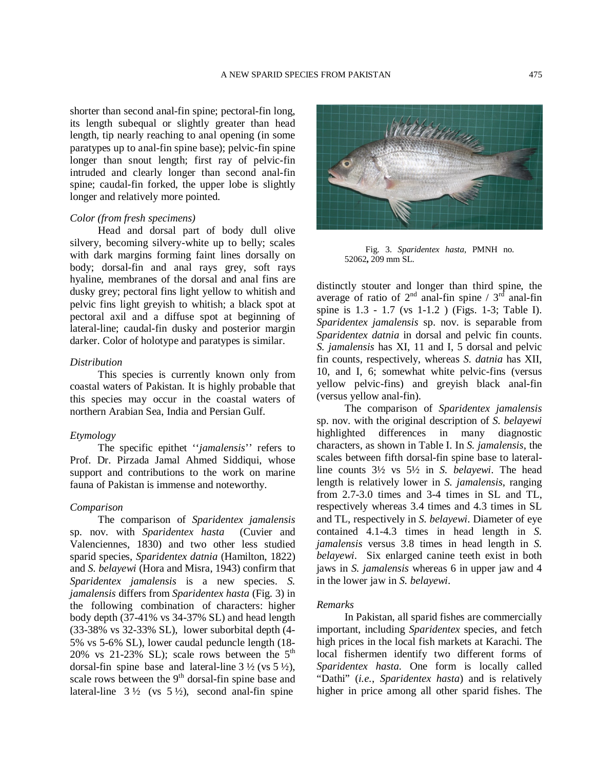shorter than second anal-fin spine; pectoral-fin long, its length subequal or slightly greater than head length, tip nearly reaching to anal opening (in some paratypes up to anal-fin spine base); pelvic-fin spine longer than snout length; first ray of pelvic-fin intruded and clearly longer than second anal-fin spine; caudal-fin forked, the upper lobe is slightly longer and relatively more pointed.

## *Color (from fresh specimens)*

Head and dorsal part of body dull olive silvery, becoming silvery-white up to belly; scales with dark margins forming faint lines dorsally on body; dorsal-fin and anal rays grey, soft rays hyaline, membranes of the dorsal and anal fins are dusky grey; pectoral fins light yellow to whitish and pelvic fins light greyish to whitish; a black spot at pectoral axil and a diffuse spot at beginning of lateral-line; caudal-fin dusky and posterior margin darker. Color of holotype and paratypes is similar.

## *Distribution*

This species is currently known only from coastal waters of Pakistan. It is highly probable that this species may occur in the coastal waters of northern Arabian Sea, India and Persian Gulf.

#### *Etymology*

The specific epithet ''*jamalensis*'' refers to Prof. Dr. Pirzada Jamal Ahmed Siddiqui, whose support and contributions to the work on marine fauna of Pakistan is immense and noteworthy.

# *Comparison*

The comparison of *Sparidentex jamalensis*  sp. nov. with *Sparidentex hasta* (Cuvier and Valenciennes, 1830) and two other less studied sparid species, *Sparidentex datnia* (Hamilton, 1822) and *S. belayewi* (Hora and Misra, 1943) confirm that *Sparidentex jamalensis* is a new species. *S. jamalensis* differs from *Sparidentex hasta* (Fig. 3) in the following combination of characters: higher body depth (37-41% vs 34-37% SL) and head length (33-38% vs 32-33% SL), lower suborbital depth (4- 5% vs 5-6% SL), lower caudal peduncle length (18- 20% vs 21-23% SL); scale rows between the  $5<sup>th</sup>$ dorsal-fin spine base and lateral-line  $3\frac{1}{2}$  (vs  $5\frac{1}{2}$ ), scale rows between the 9<sup>th</sup> dorsal-fin spine base and lateral-line  $3\frac{1}{2}$  (vs  $5\frac{1}{2}$ ), second anal-fin spine



Fig. 3. *Sparidentex hasta*, PMNH no. 52062**,** 209 mm SL.

distinctly stouter and longer than third spine, the average of ratio of  $2^{nd}$  anal-fin spine /  $3^{rd}$  anal-fin spine is 1.3 - 1.7 (vs 1-1.2 ) (Figs. 1-3; Table I). *Sparidentex jamalensis* sp. nov. is separable from *Sparidentex datnia* in dorsal and pelvic fin counts. *S. jamalensis* has XI, 11 and I, 5 dorsal and pelvic fin counts, respectively, whereas *S. datnia* has XII, 10, and I, 6; somewhat white pelvic-fins (versus yellow pelvic-fins) and greyish black anal-fin (versus yellow anal-fin).

The comparison of *Sparidentex jamalensis* sp. nov. with the original description of *S. belayewi* highlighted differences in many diagnostic characters, as shown in Table I. In *S. jamalensis*, the scales between fifth dorsal-fin spine base to lateralline counts 3½ vs 5½ in *S. belayewi*. The head length is relatively lower in *S. jamalensis*, ranging from 2.7-3.0 times and 3-4 times in SL and TL, respectively whereas 3.4 times and 4.3 times in SL and TL, respectively in *S. belayewi*. Diameter of eye contained 4.1-4.3 times in head length in *S. jamalensis* versus 3.8 times in head length in *S. belayewi*. Six enlarged canine teeth exist in both jaws in *S. jamalensis* whereas 6 in upper jaw and 4 in the lower jaw in *S. belayewi*.

#### *Remarks*

In Pakistan, all sparid fishes are commercially important, including *Sparidentex* species, and fetch high prices in the local fish markets at Karachi. The local fishermen identify two different forms of *Sparidentex hasta*. One form is locally called "Dathi" (*i.e.*, *Sparidentex hasta*) and is relatively higher in price among all other sparid fishes. The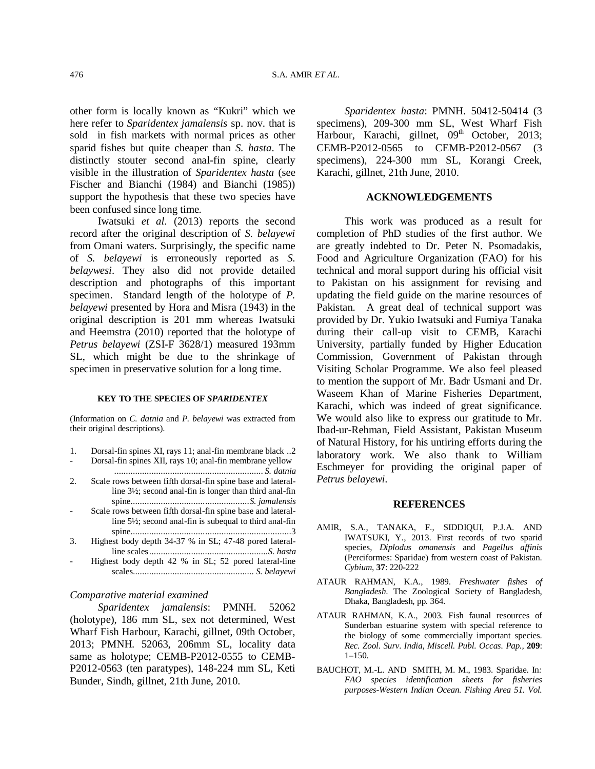other form is locally known as "Kukri" which we here refer to *Sparidentex jamalensis* sp. nov. that is sold in fish markets with normal prices as other sparid fishes but quite cheaper than *S. hasta*. The distinctly stouter second anal-fin spine, clearly visible in the illustration of *Sparidentex hasta* (see Fischer and Bianchi (1984) and Bianchi (1985)) support the hypothesis that these two species have been confused since long time.

Iwatsuki *et al*. (2013) reports the second record after the original description of *S. belayewi* from Omani waters. Surprisingly, the specific name of *S. belayewi* is erroneously reported as *S. belaywesi*. They also did not provide detailed description and photographs of this important specimen. Standard length of the holotype of *P. belayewi* presented by Hora and Misra (1943) in the original description is 201 mm whereas Iwatsuki and Heemstra (2010) reported that the holotype of *Petrus belayewi* (ZSI-F 3628/1) measured 193mm SL, which might be due to the shrinkage of specimen in preservative solution for a long time.

#### **KEY TO THE SPECIES OF** *SPARIDENTEX*

(Information on *C. datnia* and *P. belayewi* was extracted from their original descriptions).

- 1. Dorsal-fin spines XI, rays 11; anal-fin membrane black ..2
- Dorsal-fin spines XII, rays 10; anal-fin membrane yellow ................................................................ *S. datnia*
- 2. Scale rows between fifth dorsal-fin spine base and lateralline 3½; second anal-fin is longer than third anal-fin spine...................................................*S. jamalensis*
- Scale rows between fifth dorsal-fin spine base and lateralline 5½; second anal-fin is subequal to third anal-fin spine.....................................................................3
- 3. Highest body depth 34-37 % in SL; 47-48 pored lateralline scales...................................................*S. hasta*
- Highest body depth 42 % in SL; 52 pored lateral-line scales.................................................... *S. belayewi*

#### *Comparative material examined*

*Sparidentex jamalensis*: PMNH. 52062 (holotype), 186 mm SL, sex not determined, West Wharf Fish Harbour, Karachi, gillnet, 09th October, 2013; PMNH. 52063, 206mm SL, locality data same as holotype; CEMB-P2012-0555 to CEMB-P2012-0563 (ten paratypes), 148-224 mm SL, Keti Bunder, Sindh, gillnet, 21th June, 2010.

*Sparidentex hasta*: PMNH. 50412-50414 (3 specimens), 209-300 mm SL, West Wharf Fish Harbour, Karachi, gillnet, 09<sup>th</sup> October, 2013; CEMB-P2012-0565 to CEMB-P2012-0567 (3 specimens), 224-300 mm SL, Korangi Creek, Karachi, gillnet, 21th June, 2010.

# **ACKNOWLEDGEMENTS**

This work was produced as a result for completion of PhD studies of the first author. We are greatly indebted to Dr. Peter N. Psomadakis, Food and Agriculture Organization (FAO) for his technical and moral support during his official visit to Pakistan on his assignment for revising and updating the field guide on the marine resources of Pakistan. A great deal of technical support was provided by Dr. Yukio Iwatsuki and Fumiya Tanaka during their call-up visit to CEMB, Karachi University, partially funded by Higher Education Commission, Government of Pakistan through Visiting Scholar Programme. We also feel pleased to mention the support of Mr. Badr Usmani and Dr. Waseem Khan of Marine Fisheries Department, Karachi, which was indeed of great significance. We would also like to express our gratitude to Mr. Ibad-ur-Rehman, Field Assistant, Pakistan Museum of Natural History, for his untiring efforts during the laboratory work. We also thank to William Eschmeyer for providing the original paper of *Petrus belayewi*.

#### **REFERENCES**

- AMIR, S.A., TANAKA, F., SIDDIQUI, P.J.A. AND IWATSUKI, Y., 2013. First records of two sparid species, *Diplodus omanensis* and *Pagellus affinis* (Perciformes: Sparidae) from western coast of Pakistan. *Cybium*, **37**: 220-222
- ATAUR RAHMAN, K.A., 1989. *Freshwater fishes of Bangladesh*. The Zoological Society of Bangladesh, Dhaka, Bangladesh, pp. 364.
- ATAUR RAHMAN, K.A., 2003. Fish faunal resources of Sunderban estuarine system with special reference to the biology of some commercially important species. *Rec. Zool. Surv. India, Miscell. Publ. Occas. Pap.,* **209**:  $1 - 150$
- BAUCHOT, M.-L. AND SMITH, M. M., 1983. Sparidae. In*: FAO species identification sheets for fisheries purposes*-*Western Indian Ocean. Fishing Area 51. Vol.*